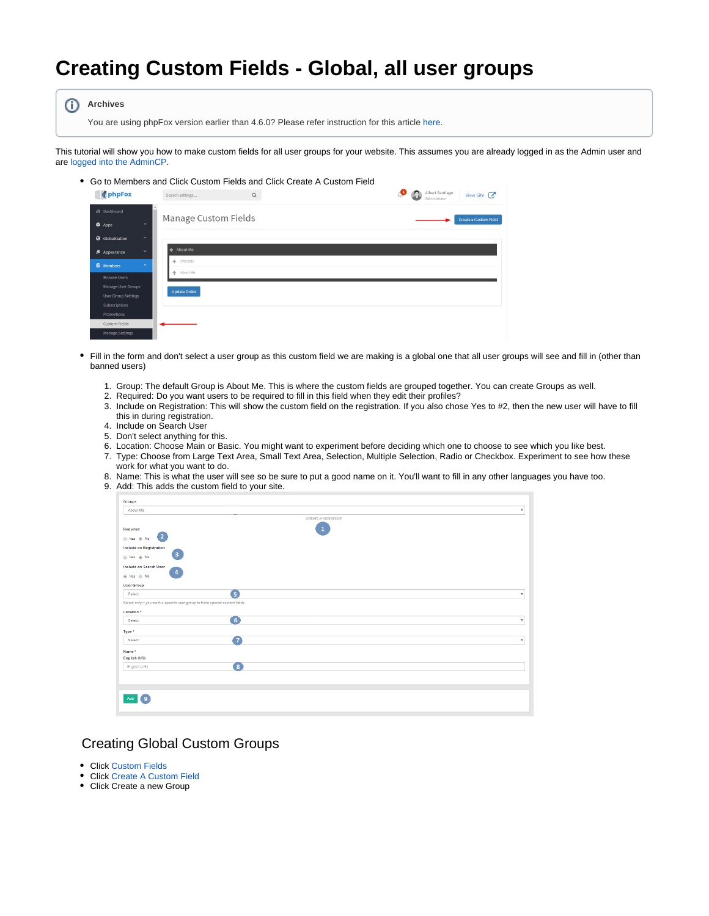## **Creating Custom Fields - Global, all user groups**

⋒ **Archives**

You are using phpFox version earlier than 4.6.0? Please refer instruction for this article [here.](https://docs.phpfox.com/display/AD/Creating+Custom+Fields+-+Global%2C+all+user+groups)

This tutorial will show you how to make custom fields for all user groups for your website. This assumes you are already logged in as the Admin user and are [logged into the AdminCP.](https://docs.phpfox.com/display/FOX4MAN/How+to+Log+in+to+the+AdminCP)

Go to Members and Click Custom Fields and Click Create A Custom Field

| phpFox                                      | $\mathsf Q$<br>Search settings    | ு<br>Ω<br>Albert Santiago<br>View Site<br>Administrator |
|---------------------------------------------|-----------------------------------|---------------------------------------------------------|
| dl Dashboard                                | Manage Custom Fields              | <b>Create a Custom Field</b>                            |
| <b>O</b> Apps<br>$\checkmark$               |                                   |                                                         |
| Globalization<br>$\checkmark$               |                                   |                                                         |
| $\mathbf{v}$<br>Appearance                  | <b><math>\Phi</math></b> About Me |                                                         |
| <sup>©</sup> Members<br>$\hat{\phantom{a}}$ | $+$ Interests                     |                                                         |
| <b>Browse Users</b>                         | + About Me                        |                                                         |
| Manage User Groups                          | <b>Update Order</b>               |                                                         |
| <b>User Group Settings</b>                  |                                   |                                                         |
| <b>Subscriptions</b>                        |                                   |                                                         |
| Promotions                                  |                                   |                                                         |
| <b>Custom Fields</b>                        |                                   |                                                         |
| <b>Manage Settings</b>                      |                                   |                                                         |

- Fill in the form and don't select a user group as this custom field we are making is a global one that all user groups will see and fill in (other than banned users)
	- 1. Group: The default Group is About Me. This is where the custom fields are grouped together. You can create Groups as well.
	- 2. Required: Do you want users to be required to fill in this field when they edit their profiles?
	- 3. Include on Registration: This will show the custom field on the registration. If you also chose Yes to #2, then the new user will have to fill this in during registration.
	- 4. Include on Search User
	- 5. Don't select anything for this.
	- 6. Location: Choose Main or Basic. You might want to experiment before deciding which one to choose to see which you like best.
	- 7. Type: Choose from Large Text Area, Small Text Area, Selection, Multiple Selection, Radio or Checkbox. Experiment to see how these work for what you want to do.
	- 8. Name: This is what the user will see so be sure to put a good name on it. You'll want to fill in any other languages you have too.
	- 9. Add: This adds the custom field to your site.

| Groups                                                                       |                    |                           |
|------------------------------------------------------------------------------|--------------------|---------------------------|
| About Me                                                                     |                    | $\overline{\mathbf{v}}$   |
|                                                                              | CREATE A NEW GROUP |                           |
| Required                                                                     | $\overline{1}$     |                           |
| $\bullet$<br>@ Yes @ No                                                      |                    |                           |
| <b>Include on Registration</b>                                               |                    |                           |
| $\left(3\right)$<br>⊕ Yes ⊕ No                                               |                    |                           |
| Include on Search User                                                       |                    |                           |
| $\overline{4}$<br>⊕ Yes ⊜ No                                                 |                    |                           |
| <b>User Group</b>                                                            |                    |                           |
| Select:                                                                      | G                  | $\boldsymbol{\mathrm{v}}$ |
| Select only if you want a specific user group to have special custom fields. |                    |                           |
| Location *                                                                   |                    |                           |
| Select:                                                                      | $\left( 6\right)$  | $\boldsymbol{\mathrm{v}}$ |
| Type *                                                                       |                    |                           |
|                                                                              |                    |                           |
| Select:                                                                      | 67                 | ۰                         |
| Name*                                                                        |                    |                           |
| English (US)                                                                 |                    |                           |
| English (US)                                                                 | $\bullet$          |                           |
|                                                                              |                    |                           |
|                                                                              |                    |                           |
|                                                                              |                    |                           |
| ( 9 i<br>Add                                                                 |                    |                           |
|                                                                              |                    |                           |

## Creating Global Custom Groups

- Click Custom Fields
- Click Create A Custom Field
- Click Create a new Group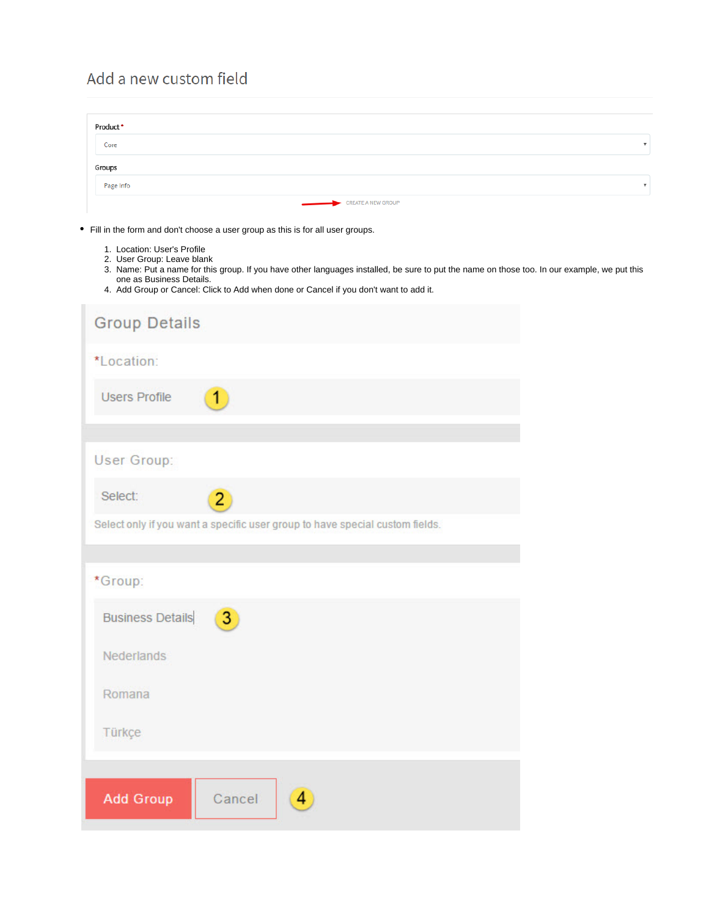## Add a new custom field

| Product*                                                                                                                                                                       |              |                           |                                                                                                                                              |
|--------------------------------------------------------------------------------------------------------------------------------------------------------------------------------|--------------|---------------------------|----------------------------------------------------------------------------------------------------------------------------------------------|
| Core                                                                                                                                                                           |              |                           |                                                                                                                                              |
| Groups                                                                                                                                                                         |              |                           |                                                                                                                                              |
| Page Info                                                                                                                                                                      |              |                           |                                                                                                                                              |
|                                                                                                                                                                                |              | <b>CREATE A NEW GROUP</b> |                                                                                                                                              |
| • Fill in the form and don't choose a user group as this is for all user groups.                                                                                               |              |                           |                                                                                                                                              |
| 1. Location: User's Profile<br>2. User Group: Leave blank<br>one as Business Details.<br>4. Add Group or Cancel: Click to Add when done or Cancel if you don't want to add it. |              |                           | 3. Name: Put a name for this group. If you have other languages installed, be sure to put the name on those too. In our example, we put this |
| <b>Group Details</b>                                                                                                                                                           |              |                           |                                                                                                                                              |
| *Location:                                                                                                                                                                     |              |                           |                                                                                                                                              |
| <b>Users Profile</b>                                                                                                                                                           |              |                           |                                                                                                                                              |
| User Group:                                                                                                                                                                    |              |                           |                                                                                                                                              |
| Select:                                                                                                                                                                        | $\mathbf{Z}$ |                           |                                                                                                                                              |
| Select only if you want a specific user group to have special custom fields.                                                                                                   |              |                           |                                                                                                                                              |
|                                                                                                                                                                                |              |                           |                                                                                                                                              |
| *Group:                                                                                                                                                                        |              |                           |                                                                                                                                              |
| <b>Business Details</b>                                                                                                                                                        | 3            |                           |                                                                                                                                              |
| Nederlands                                                                                                                                                                     |              |                           |                                                                                                                                              |
| Romana                                                                                                                                                                         |              |                           |                                                                                                                                              |
| Türkçe                                                                                                                                                                         |              |                           |                                                                                                                                              |
|                                                                                                                                                                                |              |                           |                                                                                                                                              |
| <b>Add Group</b>                                                                                                                                                               | Cancel       | $\overline{4}$            |                                                                                                                                              |